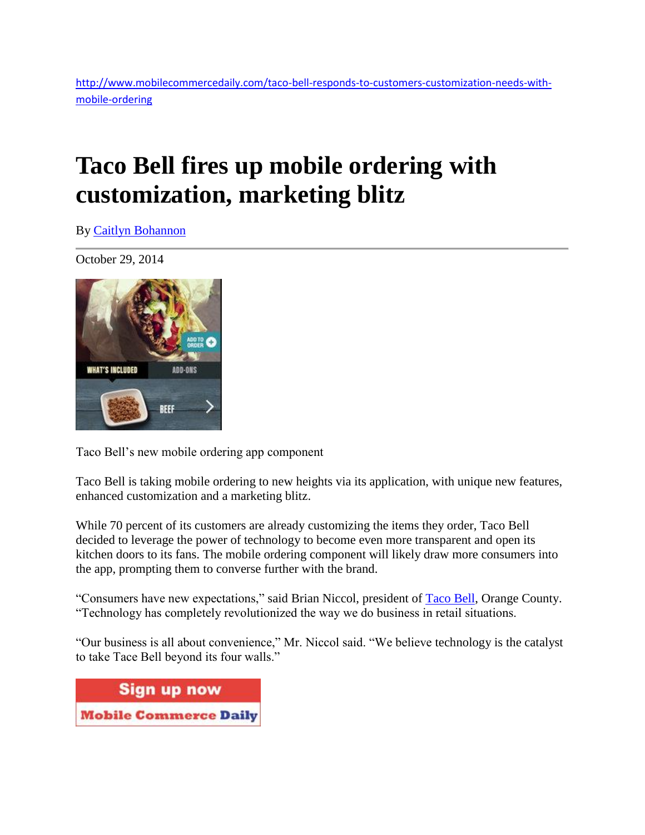## **Taco Bell fires up mobile ordering with customization, marketing blitz**

By Caitlyn [Bohannon](http://www.mobilecommercedaily.com/author/caitlyn-bohannon)

October 29, 2014



Taco Bell's new mobile ordering app component

Taco Bell is taking mobile ordering to new heights via its application, with unique new features, enhanced customization and a marketing blitz.

While 70 percent of its customers are already customizing the items they order, Taco Bell decided to leverage the power of technology to become even more transparent and open its kitchen doors to its fans. The mobile ordering component will likely draw more consumers into the app, prompting them to converse further with the brand.

"Consumers have new expectations," said Brian Niccol, president of [Taco Bell,](http://www.tacobell.com/) Orange County. "Technology has completely revolutionized the way we do business in retail situations.

"Our business is all about convenience," Mr. Niccol said. "We believe technology is the catalyst to take Tace Bell beyond its four walls."

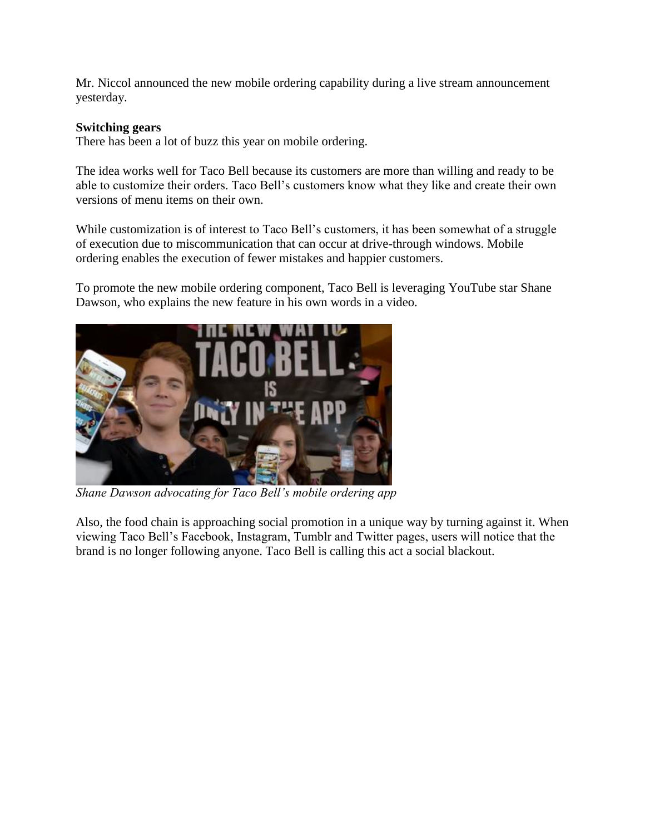Mr. Niccol announced the new mobile ordering capability during a live stream announcement yesterday.

## **Switching gears**

There has been a lot of buzz this year on mobile ordering.

The idea works well for Taco Bell because its customers are more than willing and ready to be able to customize their orders. Taco Bell's customers know what they like and create their own versions of menu items on their own.

While customization is of interest to Taco Bell's customers, it has been somewhat of a struggle of execution due to miscommunication that can occur at drive-through windows. Mobile ordering enables the execution of fewer mistakes and happier customers.

To promote the new mobile ordering component, Taco Bell is leveraging YouTube star Shane Dawson, who explains the new feature in his own words in a video.



*Shane Dawson advocating for Taco Bell's mobile ordering app*

Also, the food chain is approaching social promotion in a unique way by turning against it. When viewing Taco Bell's Facebook, Instagram, Tumblr and Twitter pages, users will notice that the brand is no longer following anyone. Taco Bell is calling this act a social blackout.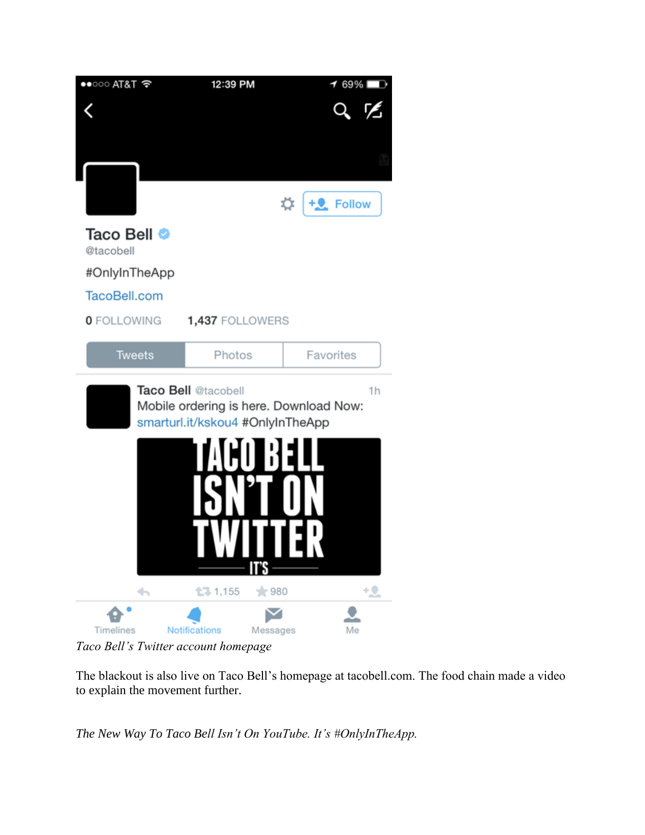| $\bullet$ T&TR $\circ$   | 12:39 PM                                                                                                                | $\overline{\phantom{0}}$ 69% $\blacksquare$ |
|--------------------------|-------------------------------------------------------------------------------------------------------------------------|---------------------------------------------|
|                          |                                                                                                                         |                                             |
|                          |                                                                                                                         |                                             |
|                          |                                                                                                                         |                                             |
|                          |                                                                                                                         |                                             |
|                          |                                                                                                                         | ☆ +2 Follow                                 |
| Taco Bell ●<br>@tacobell |                                                                                                                         |                                             |
| #OnlyInTheApp            |                                                                                                                         |                                             |
| TacoBell.com             |                                                                                                                         |                                             |
| <b>0</b> FOLLOWING       | 1,437 FOLLOWERS                                                                                                         |                                             |
| <b>Tweets</b>            | Photos                                                                                                                  | Favorites                                   |
|                          |                                                                                                                         |                                             |
|                          | <b>Taco Bell @tacobell</b><br>Mobile ordering is here. Download Now:<br>smarturl.it/kskou4 #OnlyInTheApp<br>I<br>IT'S - | 1h<br>╻┕╻                                   |
| $\leftarrow$             | 1,155<br>$*980$                                                                                                         | 12.                                         |

*Taco Bell's Twitter account homepage*

The blackout is also live on Taco Bell's homepage at tacobell.com. The food chain made a video to explain the movement further.

*The New Way To Taco Bell Isn't On YouTube. It's #OnlyInTheApp.*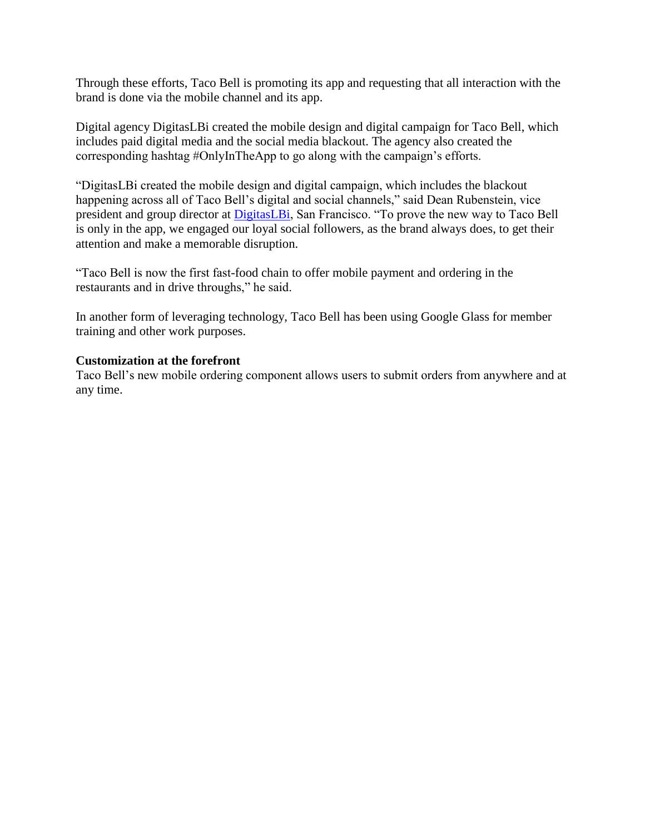Through these efforts, Taco Bell is promoting its app and requesting that all interaction with the brand is done via the mobile channel and its app.

Digital agency DigitasLBi created the mobile design and digital campaign for Taco Bell, which includes paid digital media and the social media blackout. The agency also created the corresponding hashtag #OnlyInTheApp to go along with the campaign's efforts.

"DigitasLBi created the mobile design and digital campaign, which includes the blackout happening across all of Taco Bell's digital and social channels," said Dean Rubenstein, vice president and group director at [DigitasLBi,](http://www.digitaslbi.com/us/) San Francisco. "To prove the new way to Taco Bell is only in the app, we engaged our loyal social followers, as the brand always does, to get their attention and make a memorable disruption.

"Taco Bell is now the first fast-food chain to offer mobile payment and ordering in the restaurants and in drive throughs," he said.

In another form of leveraging technology, Taco Bell has been using Google Glass for member training and other work purposes.

## **Customization at the forefront**

Taco Bell's new mobile ordering component allows users to submit orders from anywhere and at any time.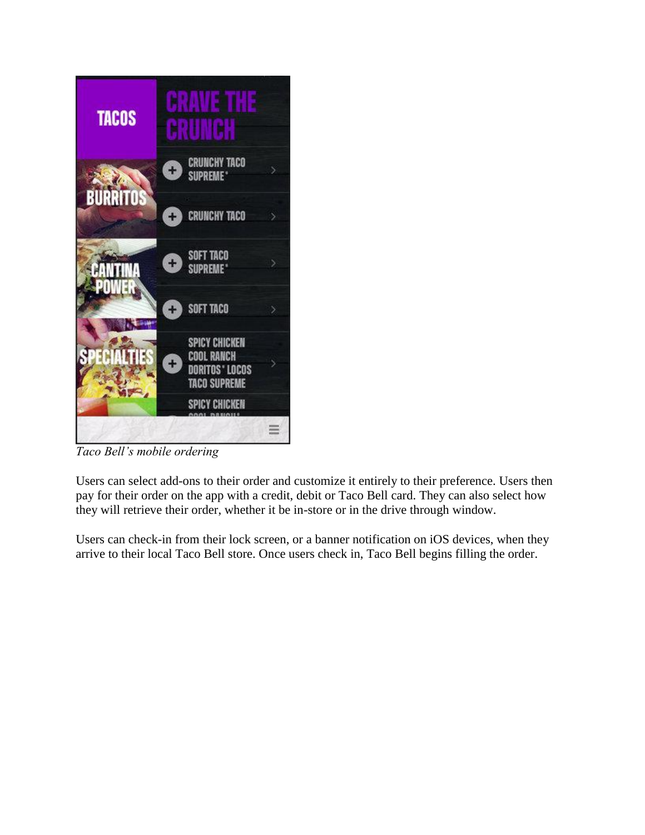

*Taco Bell's mobile ordering*

Users can select add-ons to their order and customize it entirely to their preference. Users then pay for their order on the app with a credit, debit or Taco Bell card. They can also select how they will retrieve their order, whether it be in-store or in the drive through window.

Users can check-in from their lock screen, or a banner notification on iOS devices, when they arrive to their local Taco Bell store. Once users check in, Taco Bell begins filling the order.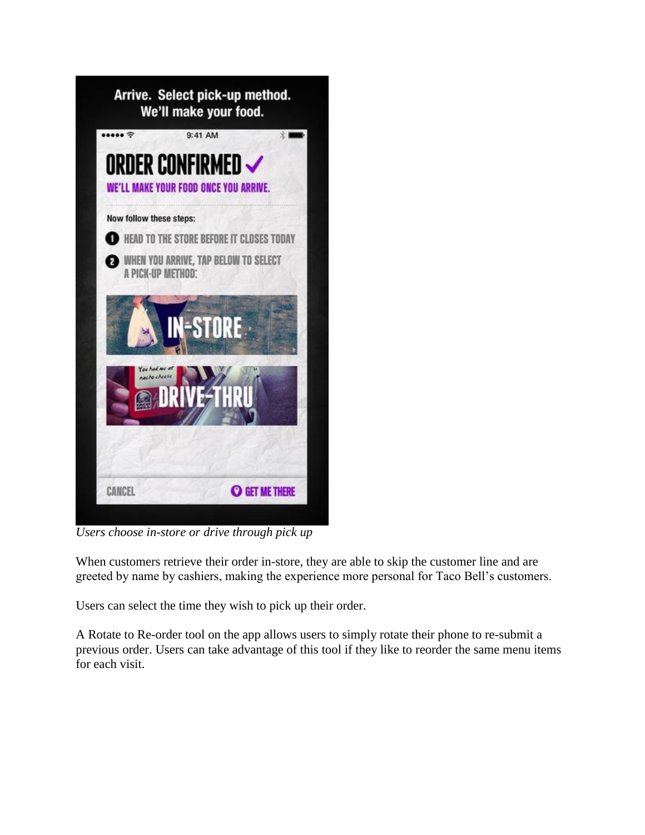

*Users choose in-store or drive through pick up*

When customers retrieve their order in-store, they are able to skip the customer line and are greeted by name by cashiers, making the experience more personal for Taco Bell's customers.

Users can select the time they wish to pick up their order.

A Rotate to Re-order tool on the app allows users to simply rotate their phone to re-submit a previous order. Users can take advantage of this tool if they like to reorder the same menu items for each visit.